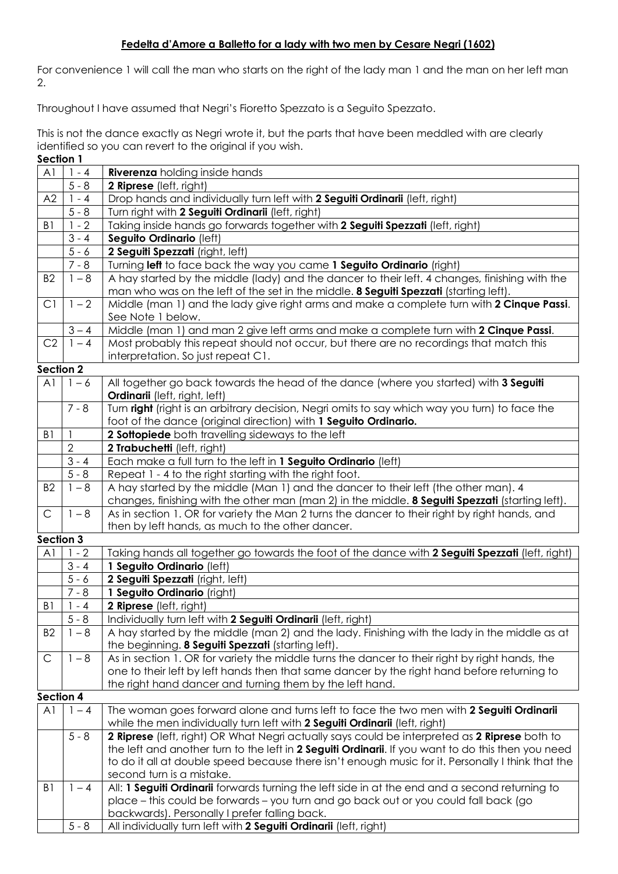### **Fedelta d'Amore a Balletto for a lady with two men by Cesare Negri (1602)**

For convenience 1 will call the man who starts on the right of the lady man 1 and the man on her left man 2.

Throughout I have assumed that Negri's Fioretto Spezzato is a Seguito Spezzato.

This is not the dance exactly as Negri wrote it, but the parts that have been meddled with are clearly identified so you can revert to the original if you wish. **Section 1**

| <b>Section 1</b> |                |                                                                                                                                                                                                     |
|------------------|----------------|-----------------------------------------------------------------------------------------------------------------------------------------------------------------------------------------------------|
| A <sub>1</sub>   | $-4$           | <b>Riverenza</b> holding inside hands                                                                                                                                                               |
|                  | $5 - 8$        | 2 Riprese (left, right)                                                                                                                                                                             |
| A2               | $1 - 4$        | Drop hands and individually turn left with 2 Seguiti Ordinarii (left, right)                                                                                                                        |
|                  | $5 - 8$        | Turn right with 2 Seguiti Ordinarii (left, right)                                                                                                                                                   |
| B1               | $1 - 2$        | Taking inside hands go forwards together with 2 Seguiti Spezzati (left, right)                                                                                                                      |
|                  | $3 - 4$        | Seguito Ordinario (left)                                                                                                                                                                            |
|                  | $5 - 6$        | 2 Seguiti Spezzati (right, left)                                                                                                                                                                    |
|                  | $7 - 8$        | Turning left to face back the way you came 1 Seguito Ordinario (right)                                                                                                                              |
| <b>B2</b>        | $1 - 8$        | A hay started by the middle (lady) and the dancer to their left. 4 changes, finishing with the<br>man who was on the left of the set in the middle. 8 Seguiti Spezzati (starting left).             |
| C1               | $1 - 2$        | Middle (man 1) and the lady give right arms and make a complete turn with 2 Cinque Passi.<br>See Note 1 below.                                                                                      |
|                  | $3 - 4$        | Middle (man 1) and man 2 give left arms and make a complete turn with 2 Cinque Passi.                                                                                                               |
| C <sub>2</sub>   | $1 - 4$        | Most probably this repeat should not occur, but there are no recordings that match this<br>interpretation. So just repeat C1.                                                                       |
| Section 2        |                |                                                                                                                                                                                                     |
| A <sub>1</sub>   | $1 - 6$        | All together go back towards the head of the dance (where you started) with 3 Seguiti<br><b>Ordinarii</b> (left, right, left)                                                                       |
|                  | $7 - 8$        | Turn right (right is an arbitrary decision, Negri omits to say which way you turn) to face the<br>foot of the dance (original direction) with 1 Seguito Ordinario.                                  |
| B1               | -1             | 2 Sottopiede both travelling sideways to the left                                                                                                                                                   |
|                  | $\overline{2}$ | 2 Trabuchetti (left, right)                                                                                                                                                                         |
|                  | $3 - 4$        | Each make a full turn to the left in 1 Seguito Ordinario (left)                                                                                                                                     |
|                  | $5 - 8$        | Repeat 1 - 4 to the right starting with the right foot.                                                                                                                                             |
| B <sub>2</sub>   | $1 - 8$        | A hay started by the middle (Man 1) and the dancer to their left (the other man). 4<br>changes, finishing with the other man (man 2) in the middle. 8 Seguiti Spezzati (starting left).             |
| $\mathsf{C}$     | $1 - 8$        | As in section 1. OR for variety the Man 2 turns the dancer to their right by right hands, and<br>then by left hands, as much to the other dancer.                                                   |
|                  | Section 3      |                                                                                                                                                                                                     |
| A <sub>1</sub>   | $-2$<br>1      | Taking hands all together go towards the foot of the dance with 2 Seguiti Spezzati (left, right)                                                                                                    |
|                  | $3 - 4$        | 1 Seguito Ordinario (left)                                                                                                                                                                          |
|                  | $5 - 6$        | 2 Seguiti Spezzati (right, left)                                                                                                                                                                    |
|                  | $7 - 8$        | 1 Seguito Ordinario (right)                                                                                                                                                                         |
| B1               | $1 - 4$        | 2 Riprese (left, right)                                                                                                                                                                             |
|                  | $5 - 8$        | Individually turn left with 2 Seguiti Ordinarii (left, right)                                                                                                                                       |
| B <sub>2</sub>   | $1 - 8$        | A hay started by the middle (man 2) and the lady. Finishing with the lady in the middle as at<br>the beginning. 8 Seguiti Spezzati (starting left).                                                 |
| $\mathsf{C}$     | $1 - 8$        | As in section 1. OR for variety the middle turns the dancer to their right by right hands, the                                                                                                      |
|                  |                | one to their left by left hands then that same dancer by the right hand before returning to                                                                                                         |
|                  |                | the right hand dancer and turning them by the left hand.                                                                                                                                            |
| Section 4        |                |                                                                                                                                                                                                     |
| A <sub>1</sub>   | $1 - 4$        | The woman goes forward alone and turns left to face the two men with 2 Seguiti Ordinarii<br>while the men individually turn left with 2 Seguiti Ordinarii (left, right)                             |
|                  | $5 - 8$        | 2 Riprese (left, right) OR What Negri actually says could be interpreted as 2 Riprese both to<br>the left and another turn to the left in 2 Seguiti Ordinarii. If you want to do this then you need |
|                  |                | to do it all at double speed because there isn't enough music for it. Personally I think that the<br>second turn is a mistake.                                                                      |
| B1               | $1 - 4$        | All: 1 Seguiti Ordinarii forwards turning the left side in at the end and a second returning to                                                                                                     |
|                  |                | place – this could be forwards – you turn and go back out or you could fall back (go<br>backwards). Personally I prefer falling back.                                                               |
|                  | $5 - 8$        | All individually turn left with 2 Seguiti Ordinarii (left, right)                                                                                                                                   |
|                  |                |                                                                                                                                                                                                     |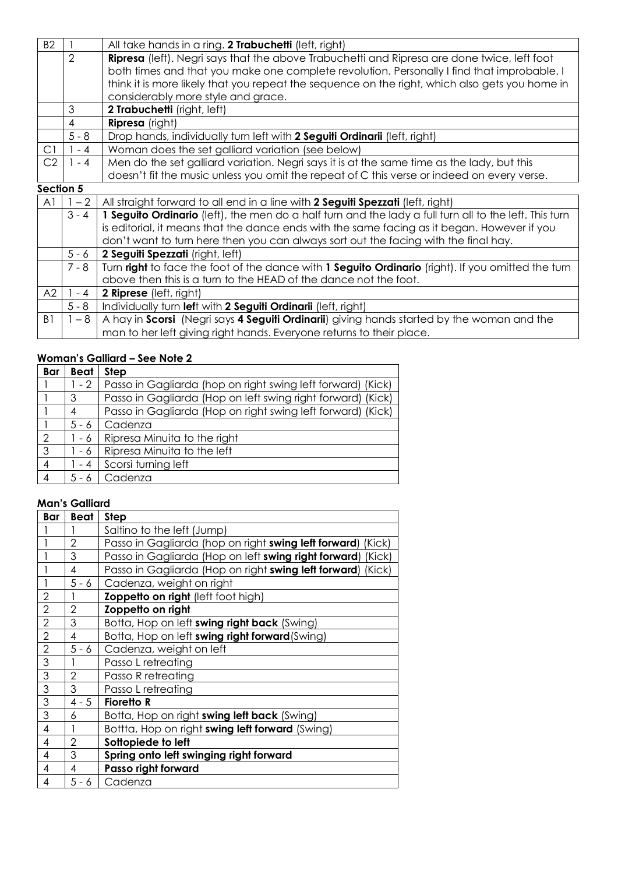| <b>B2</b>                        |         | All take hands in a ring. 2 Trabuchetti (left, right)                                                  |  |
|----------------------------------|---------|--------------------------------------------------------------------------------------------------------|--|
|                                  | 2       | <b>Ripresa</b> (left). Negri says that the above Trabuchetti and Ripresa are done twice, left foot     |  |
|                                  |         | both times and that you make one complete revolution. Personally I find that improbable. I             |  |
|                                  |         | think it is more likely that you repeat the sequence on the right, which also gets you home in         |  |
|                                  |         | considerably more style and grace.                                                                     |  |
| 3<br>2 Trabuchetti (right, left) |         |                                                                                                        |  |
|                                  | 4       | <b>Ripresa</b> (right)                                                                                 |  |
|                                  | $5 - 8$ | Drop hands, individually turn left with 2 Seguiti Ordinarii (left, right)                              |  |
| C1                               | $1 - 4$ | Woman does the set galliard variation (see below)                                                      |  |
| C <sub>2</sub>                   | $1 - 4$ | Men do the set galliard variation. Negri says it is at the same time as the lady, but this             |  |
|                                  |         | doesn't fit the music unless you omit the repeat of C this verse or indeed on every verse.             |  |
| Section 5                        |         |                                                                                                        |  |
| A1                               | $-2$    | All straight forward to all end in a line with 2 Seguiti Spezzati (left, right)                        |  |
|                                  | $3 - 4$ | 1 Seguito Ordinario (left), the men do a half turn and the lady a full turn all to the left. This turn |  |
|                                  |         | is editorial, it means that the dance ends with the same facing as it began. However if you            |  |
|                                  |         | don't want to turn here then you can always sort out the facing with the final hay.                    |  |
|                                  | $5 - 6$ | 2 Seguiti Spezzati (right, left)                                                                       |  |
|                                  | $7 - 8$ | Turn right to face the foot of the dance with 1 Seguito Ordinario (right). If you omitted the turn     |  |
|                                  |         | above then this is a turn to the HEAD of the dance not the foot.                                       |  |
| A2                               | $1 - 4$ | 2 Riprese (left, right)                                                                                |  |
|                                  | $5 - 8$ | Individually turn left with 2 Seguiti Ordinarii (left, right)                                          |  |
| B <sub>1</sub>                   | $1 - 8$ | A hay in Scorsi (Negri says 4 Seguiti Ordinarii) giving hands started by the woman and the             |  |
|                                  |         | man to her left giving right hands. Everyone returns to their place.                                   |  |

# **Woman's Galliard – See Note 2**

| <b>Bar</b>    | <b>Beat</b> | Step                                                        |
|---------------|-------------|-------------------------------------------------------------|
|               | 1 - 2       | Passo in Gagliarda (hop on right swing left forward) (Kick) |
|               | 3           | Passo in Gagliarda (Hop on left swing right forward) (Kick) |
|               | 4           | Passo in Gagliarda (Hop on right swing left forward) (Kick) |
|               | $5 - 6$     | Cadenza                                                     |
| $\mathcal{D}$ | 1 - 6       | Ripresa Minuita to the right                                |
| $\mathbf{3}$  | - 6         | Ripresa Minuita to the left                                 |
| 4             | - 4         | Scorsi turning left                                         |
| 4             | $5 - 6$     | Cadenza                                                     |

# **Man's Galliard**

| Bar            | Beat           | <b>Step</b>                                                    |
|----------------|----------------|----------------------------------------------------------------|
|                |                | Saltino to the left (Jump)                                     |
|                | $\overline{2}$ | Passo in Gagliarda (hop on right swing left forward)<br>(Kick) |
|                | 3              | Passo in Gagliarda (Hop on left swing right forward) (Kick)    |
|                | 4              | Passo in Gagliarda (Hop on right swing left forward) (Kick)    |
|                | $5 - 6$        | Cadenza, weight on right                                       |
| 2              |                | Zoppetto on right (left foot high)                             |
| $\overline{2}$ | $\overline{2}$ | Zoppetto on right                                              |
| $\overline{2}$ | 3              | Botta, Hop on left swing right back (Swing)                    |
| $\overline{2}$ | 4              | Botta, Hop on left swing right forward (Swing)                 |
| $\overline{2}$ | $5 - 6$        | Cadenza, weight on left                                        |
| 3              |                | Passo L retreating                                             |
| 3              | $\overline{2}$ | Passo R retreating                                             |
| 3              | 3              | Passo L retreating                                             |
| $\overline{3}$ | $4 - 5$        | <b>Fioretto R</b>                                              |
| 3              | 6              | Botta, Hop on right swing left back (Swing)                    |
| 4              |                | Bottta, Hop on right swing left forward (Swing)                |
| 4              | $\mathfrak{D}$ | Sottopiede to left                                             |
| 4              | 3              | Spring onto left swinging right forward                        |
| 4              | 4              | Passo right forward                                            |
| 4              | 5 - 6          | Cadenza                                                        |